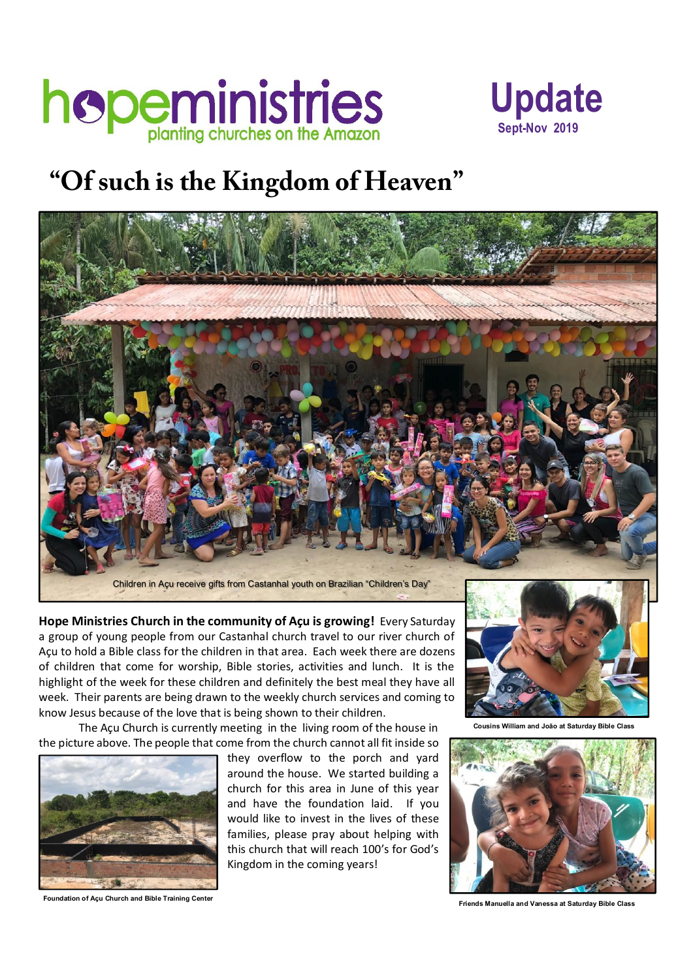



## **"Of such is the Kingdom of Heaven"**



**Hope Ministries Church in the community of Açu is growing! Every Saturday** a group of young people from our Castanhal church travel to our river church of Açu to hold a Bible class for the children in that area. Each week there are dozens of children that come for worship, Bible stories, activities and lunch. It is the highlight of the week for these children and definitely the best meal they have all week. Their parents are being drawn to the weekly church services and coming to know Jesus because of the love that is being shown to their children.

The Açu Church is currently meeting in the living room of the house in the picture above. The people that come from the church cannot all fit inside so



they overflow to the porch and yard around the house. We started building a church for this area in June of this year and have the foundation laid. If you would like to invest in the lives of these families, please pray about helping with this church that will reach 100's for God's Kingdom in the coming years!



**Cousins William and João at Saturday Bible Class**



**Friends Manuella and Vanessa at Saturday Bible Class**

**Foundation of Açu Church and Bible Training Center**